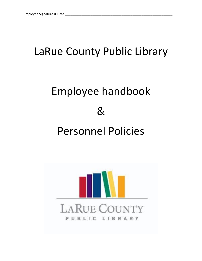# LaRue County Public Library

# Employee handbook & Personnel Policies

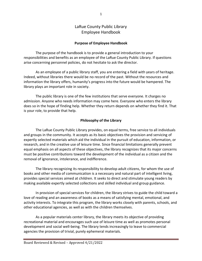# LaRue County Public Library Employee Handbook

#### **Purpose of Employee Handbook**

The purpose of the handbook is to provide a general introduction to your responsibilities and benefits as an employee of the LaRue County Public Library. If questions arise concerning personnel policies, do not hesitate to ask the director.

As an employee of a public library staff, you are entering a field with years of heritage. Indeed, without libraries there would be no record of the past. Without the resources and information the library offers, humanity's progress into the future would be hampered. The library plays an important role in society.

The public library is one of the few institutions that serve everyone. It charges no admission. Anyone who needs information may come here. Everyone who enters the library does so in the hope of finding help. Whether they return depends on whether they find it. That is your role, to provide that help.

#### **Philosophy of the Library**

The LaRue County Public Library provides, on equal terms, free service to all individuals and groups in the community. It accepts as its basic objectives the provision and servicing of expertly selected materials which aid the individual in the pursuit of education, information, or research, and in the creative use of leisure time. Since financial limitations generally prevent equal emphasis on all aspects of these objectives, the library recognizes that its major concerns must be positive contributions toward the development of the individual as a citizen and the removal of ignorance, intolerance, and indifference.

The library recognizing its responsibility to develop adult citizens, for whom the use of books and other media of communication is a necessary and natural part of intelligent living, provides special services aimed at children. It seeks to direct and stimulate young readers by making available expertly selected collections and skilled individual and group guidance.

In provision of special services for children, the library strives to guide the child toward a love of reading and an awareness of books as a means of satisfying mental, emotional, and activity interests. To integrate this program, the library works closely with parents, schools, and other educational agencies, as well as with the children themselves.

As a popular materials center library, the library meets its objective of providing recreational material and encourages such use of leisure time as well as promotes personal development and social well-being. The library tends increasingly to leave to commercial agencies the provision of trivial, purely ephemeral materials.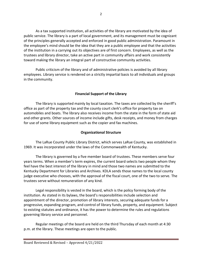As a tax supported institution, all activities of the library are motivated by the idea of public service. The library is a part of local government, and its management must be cognizant of the principles generally accepted and enforced in good public administration. Paramount in the employee's mind should be the idea that they are a public employee and that the activities of the institution in a carrying out its objectives are of first concern. Employees, as well as the trustees and library director, take an active part in community affairs and work consistently toward making the library an integral part of constructive community activities.

Public criticism of the library and of administrative policies is avoided by all library employees. Library service is rendered on a strictly impartial basis to all individuals and groups in the community.

# **Financial Support of the Library**

The library is supported mainly by local taxation. The taxes are collected by the sheriff's office as part of the property tax and the county court clerk's office for property tax on automobiles and boats. The library also receives income from the state in the form of state aid and other grants. Other sources of income include gifts, desk receipts, and money from charges for use of some library equipment such as the copier and fax machines.

# **Organizational Structure**

The LaRue County Public Library District, which serves LaRue County, was established in 1969. It was incorporated under the laws of the Commonwealth of Kentucky.

The library is governed by a five member board of trustees. These members serve four years terms. When a member's term expires, the current board selects two people whom they feel have the best interest of the library in mind and those two names are submitted to the Kentucky Department for Libraries and Archives. KDLA sends those names to the local county judge executive who chooses, with the approval of the fiscal court, one of the two to serve. The trustees serve without remuneration of any kind.

Legal responsibility is vested in the board, which is the policy forming body of the institution. As stated in its bylaws, the board's responsibilities include selection and appointment of the director, promotion of library interests, securing adequate funds for a progressive, expanding program, and control of library funds, property, and equipment. Subject to existing statutes and ordinance, it has the power to determine the rules and regulations governing library service and personnel.

Regular meetings of the board are held on the third Thursday of each month at 4:30 p.m. at the library. These meetings are open to the public.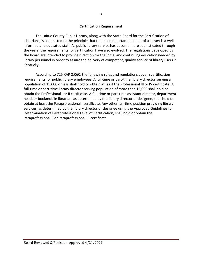#### **Certification Requirement**

The LaRue County Public Library, along with the State Board for the Certification of Librarians, is committed to the principle that the most important element of a library is a well informed and educated staff. As public library service has become more sophisticated through the years, the requirements for certification have also evolved. The regulations developed by the board are intended to provide direction for the initial and continuing education needed by library personnel in order to assure the delivery of competent, quality service of library users in Kentucky.

According to 725 KAR 2:060, the following rules and regulations govern certification requirements for public library employees. A full-time or part-time library director serving a population of 15,000 or less shall hold or obtain at least the Professional III or IV certificate. A full-time or part-time library director serving population of more than 15,000 shall hold or obtain the Professional I or II certificate. A full-time or part-time assistant director, department head, or bookmobile librarian, as determined by the library director or designee, shall hold or obtain at least the Paraprofessional I certificate. Any other full-time position providing library services, as determined by the library director or designee using the Approved Guidelines for Determination of Paraprofessional Level of Certification, shall hold or obtain the Paraprofessional II or Paraprofessional III certificate.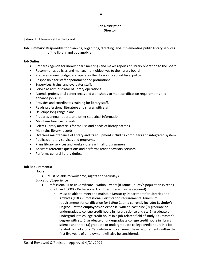#### **Job Description Director**

**Salary:** Full time – set by the board

**Job Summary:** Responsible for planning, organizing, directing, and implementing public library services of the library and bookmobile.

#### **Job Duties:**

- Prepares agenda for library board meetings and makes reports of library operation to the board.
- Recommends policies and management objectives to the library board.
- Prepares annual budget and operates the library in a sound fiscal policy.
- Responsible for staff appointment and promotions.
- Supervises, trains, and evaluates staff.
- Serves as administrator of library operations.
- Attends professional conferences and workshops to meet certification requirements and enhance job skills.
- Provides and coordinates training for library staff.
- Reads professional literature and shares with staff.
- Develops long range plans.
- Prepares annual reports and other statistical information.
- Maintains financial records.
- Selects library materials for the use and needs of library patrons.
- Maintains library records.
- Oversees maintenance of library and its equipment including computers and integrated system.
- Publicizes library services and programs.
- Plans library services and works closely with all programmers.
- Answers reference questions and performs reader advisory services.
- Performs general library duties.

#### **Job Requirements:**

**Hours** 

Must be able to work days, nights and Saturdays.

Education/Experience

- Professional III or IV Certificate within 5 years (If LaRue County's population exceeds more than 15,000 a Professional I or II Certificate may be required)
	- o Must be able to meet and maintain Kentucky Department for Libraries and Archives (KDLA) Professional Certification requirements. Minimum requirements for certification for LaRue County currently include: **Bachelor's Degree – at the employees on expense,** with at least nine (9) graduate or undergraduate college credit hours in library science and six (6) graduate or undergraduate college credit hours in a job-related field of study; OR master's degree with six (6) graduate or undergraduate college credit hours in library science and three (3) graduate or undergraduate college credit hours in a jobrelated field of study. Candidates who can meet these requirements within the first five years of employment will also be considered.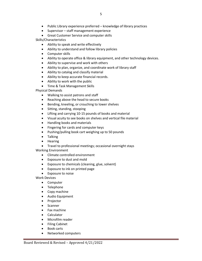- Public Library experience preferred knowledge of library practices
- Supervisor staff management experience
- Great Customer Service and computer skills

Skills/Characteristics

- Ability to speak and write effectively
- Ability to understand and follow library policies
- Computer skills
- Ability to operate office & library equipment, and other technology devices.
- Ability to supervise and work with others
- Ability to plan, organize, and coordinate work of library staff
- Ability to catalog and classify material
- Ability to keep accurate financial records.
- Ability to work with the public
- Time & Task Management Skills

Physical Demands

- Walking to assist patrons and staff
- Reaching above the head to secure books
- Bending, kneeling, or crouching to lower shelves
- Sitting, standing, stooping
- Lifting and carrying 10-15 pounds of books and material
- Visual acuity to see books on shelves and vertical file material
- Handling books and materials
- Fingering for cards and computer keys
- Pushing/pulling book cart weighing up to 50 pounds
- Talking
- Hearing
- Travel to professional meetings; occasional overnight stays

Working Environment

- Climate controlled environment
- Exposure to dust and mold
- Exposure to chemicals (cleaning, glue, solvent)
- Exposure to ink on printed page
- Exposure to noise

Work Devices

- Computer
- Telephone
- Copy machine
- Audio Equipment
- Projector
- Scanner
- Fax machine
- Calculator
- Microfilm reader
- Filing Cabinet
- Book carts
- Networked computers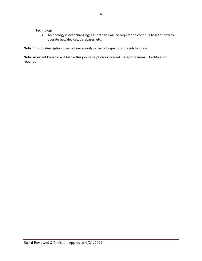Technology

 Technology is ever changing; all librarians will be required to continue to learn how to operate new devices, databases, etc.

**Note:** This job description does not necessarily reflect all aspects of the job function.

**Note:** Assistant Director will follow this job description as needed. Paraprofessional I Certification required.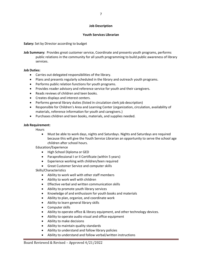#### **Job Description**

#### **Youth Services Librarian**

**Salary:** Set by Director according to budget

**Job Summary:** Provides great customer service, Coordinate and presents youth programs, performs public relations in the community for all youth programming to build public awareness of library services.

#### **Job Duties:**

- Carries out delegated responsibilities of the library.
- Plans and presents regularly scheduled in the library and outreach youth programs.
- Performs public relation functions for youth programs.
- Provides reader advisory and reference service for youth and their caregivers.
- Reads reviews of children and teen books.
- Creates displays and interest centers.
- Performs general library duties (listed in circulation clerk job description)
- Responsible for Children's Area and Learning Center (organization, circulation, availability of materials, reference information for youth and caregivers.)
- Purchases children and teen books, materials, and supplies needed.

#### **Job Requirement:**

**Hours** 

 Must be able to work days, nights and Saturdays. Nights and Saturdays are required because this will give the Youth Service Librarian an opportunity to serve the school age children after school hours.

Education/Experience

- High School Diploma or GED
- Paraprofessional I or II Certificate (within 5 years)
- Experience working with children/teen required
- Great Customer Service and computer skills

Skills/Characteristics

- Ability to work well with other staff members
- Ability to work well with children
- **•** Effective verbal and written communication skills
- Ability to promote youth library services
- Knowledge of and enthusiasm for youth books and materials
- Ability to plan, organize, and coordinate work
- Ability to learn general library skills
- Computer skills
- Ability to operate office & library equipment, and other technology devices.
- Ability to operate audio visual and office equipment
- Ability to make decisions
- Ability to maintain quality standards
- Ability to understand and follow library policies
- Ability to understand and follow verbal/written instructions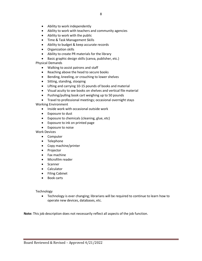- Ability to work independently
- Ability to work with teachers and community agencies
- Ability to work with the public
- Time & Task Management Skills
- Ability to budget & keep accurate records
- Organization skills
- Ability to create PR materials for the library
- Basic graphic design skills (canva, publisher, etc.)

Physical Demands

- Walking to assist patrons and staff
- Reaching above the head to secure books
- Bending, kneeling, or crouching to lower shelves
- Sitting, standing, stooping
- Lifting and carrying 10-15 pounds of books and material
- Visual acuity to see books on shelves and vertical file material
- Pushing/pulling book cart weighing up to 50 pounds
- Travel to professional meetings; occasional overnight stays

Working Environment

- Inside work with occasional outside work
- Exposure to dust
- Exposure to chemicals (cleaning, glue, etc)
- Exposure to ink on printed page
- Exposure to noise

Work Devices

- Computer
- Telephone
- Copy machine/printer
- Projector
- Fax machine
- Microfilm reader
- Scanner
- Calculator
- Filing Cabinet
- Book carts

Technology

 Technology is ever changing; librarians will be required to continue to learn how to operate new devices, databases, etc.

**Note:** This job description does not necessarily reflect all aspects of the job function.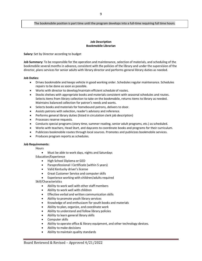#### The bookmobile position is part time until the program develops into a full-time requiring full time hours.

#### **Job Description Bookmobile Librarian**

**Salary:** Set by Director according to budget

**Job Summary:** To be responsible for the operation and maintenance, selection of materials, and scheduling of the bookmobile several months in advance, consistent with the policies of the library and under the supervision of the director, plans services for senior adults with library director and performs general library duties as needed.

#### **Job Duties:**

- Drives bookmobile and keeps vehicle in good working order. Schedules regular maintenance. Schedules repairs to be done as soon as possible.
- Works with director to develop/maintain efficient schedule of routes.
- Stocks shelves with appropriate books and materials consistent with seasonal schedules and routes. Selects items from library collection to take on the bookmobile, returns items to library as needed. Maintains balanced collection for patron's needs and wants.
- Selects books and materials for homebound patrons, delivers to door.
- Assists patrons with selection, reader's advisory and reference.
- Performs general library duties (listed in circulation clerk job description)
- Processes reserve requests.
- Conducts special programs (story time, summer reading, senior adult programs, etc.) as scheduled.
- Works with teachers, Head Start, and daycares to coordinate books and programs for their curriculum.
- Publicizes bookmobile routes through local sources. Promotes and publicizes bookmobile services.
- Produces program reports as schedules.

#### **Job Requirements:**

Hours

- Must be able to work days, nights and Saturdays
- Education/Experience
	- High School Diploma or GED
	- Paraprofessional I Certificate (within 5 years)
	- Valid Kentucky driver's license
	- Great Customer Service and computer skills
	- Experience working with children/adults required
- Skill/Characteristics
	- Ability to work well with other staff members
	- Ability to work well with children
	- **•** Effective verbal and written communication skills
	- Ability to promote youth library services
	- Knowledge of and enthusiasm for youth books and materials
	- Ability to plan, organize, and coordinate work
	- Ability to understand and follow library policies
	- Ability to learn general library skills
	- **•** Computer skills
	- Ability to operate office & library equipment, and other technology devices.
	- Ability to make decisions
	- Ability to maintain quality standards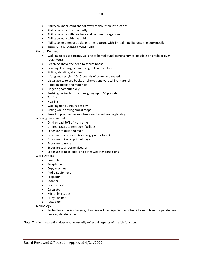- Ability to understand and follow verbal/written instructions
- Ability to work independently
- Ability to work with teachers and community agencies
- Ability to work with the public
- Ability to help senior adults or other patrons with limited mobility onto the bookmobile
- Time & Task Management Skills

#### Physical Demands

- Walking to assist patrons, walking to homebound patrons homes, possible on grade or over rough terrain
- Reaching above the head to secure books
- **•** Bending, kneeling, or crouching to lower shelves
- Sitting, standing, stooping
- Lifting and carrying 10-15 pounds of books and material
- Visual acuity to see books on shelves and vertical file material
- Handling books and materials
- Fingering computer keys
- Pushing/pulling book cart weighing up to 50 pounds
- Talking
- Hearing
- Walking up to 3 hours per day
- Sitting while driving and at stops
- Travel to professional meetings; occasional overnight stays

#### Working Environment

- On the road 50% of work time
- Limited access to restroom facilities
- Exposure to dust and mold
- Exposure to chemicals (cleaning, glue, solvent)
- Exposure to ink on printed page
- Exposure to noise
- Exposure to airborne diseases
- Exposure to heat, cold, and other weather conditions

#### Work Devices

- Computer
- Telephone
- Copy machine
- Audio Equipment
- Projector
- Scanner
- Fax machine
- Calculator
- Microfilm reader
- **•** Filing Cabinet
- Book carts

Technology

 Technology is ever changing; librarians will be required to continue to learn how to operate new devices, databases, etc.

**Note:** This job description does not necessarily reflect all aspects of the job function.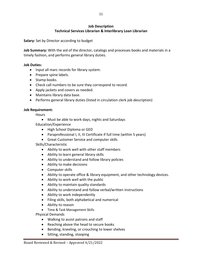# **Job Description Technical Services Librarian & Interlibrary Loan Librarian**

**Salary:** Set by Director according to budget

**Job Summary:** With the aid of the director, catalogs and processes books and materials in a timely fashion, and performs general library duties.

#### **Job Duties:**

- Input all marc records for library system.
- Prepare spine labels.
- Stamp books.
- Check call numbers to be sure they correspond to record.
- Apply jackets and covers as needed.
- Maintains library data base.
- Performs general library duties (listed in circulation clerk job description)

#### **Job Requirement:**

**Hours** 

Must be able to work days, nights and Saturdays

Education/Experience

- High School Diploma or GED
- Paraprofessional I, II, III Certificate if full time (within 5 years)
- Great Customer Service and computer skills

# Skills/Characteristic

- Ability to work well with other staff members
- Ability to learn general library skills
- Ability to understand and follow library policies
- Ability to make decisions
- Computer skills
- Ability to operate office & library equipment, and other technology devices.
- Ability to work well with the public
- Ability to maintain quality standards
- Ability to understand and follow verbal/written instructions
- Ability to work independently
- Filing skills, both alphabetical and numerical
- Ability to reason
- Time & Task Management Skills

Physical Demands

- Walking to assist patrons and staff
- Reaching above the head to secure books
- Bending, kneeling, or crouching to lower shelves
- Sitting, standing, stooping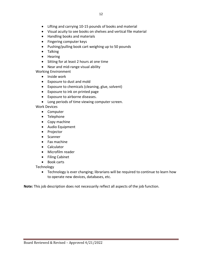- Lifting and carrying 10-15 pounds of books and material
- Visual acuity to see books on shelves and vertical file material
- Handling books and materials
- Fingering computer keys
- Pushing/pulling book cart weighing up to 50 pounds
- Talking
- Hearing
- Sitting for at least 2 hours at one time
- Near and mid-range visual ability

Working Environment

- Inside work
- Exposure to dust and mold
- Exposure to chemicals (cleaning, glue, solvent)
- Exposure to ink on printed page
- Exposure to airborne diseases.
- Long periods of time viewing computer screen.

Work Devices

- Computer
- Telephone
- Copy machine
- Audio Equipment
- Projector
- Scanner
- Fax machine
- Calculator
- Microfilm reader
- **•** Filing Cabinet
- Book carts

**Technology** 

 Technology is ever changing; librarians will be required to continue to learn how to operate new devices, databases, etc.

**Note:** This job description does not necessarily reflect all aspects of the job function.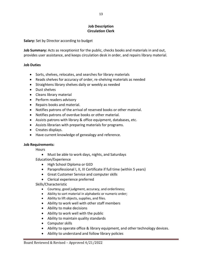#### **Job Description Circulation Clerk**

**Salary:** Set by Director according to budget

**Job Summary:** Acts as receptionist for the public, checks books and materials in and out, provides user assistance, and keeps circulation desk in order, and repairs library material.

#### **Job Duties**

- Sorts, shelves, relocates, and searches for library materials
- Reads shelves for accuracy of order, re-shelving materials as needed
- **•** Straightens library shelves daily or weekly as needed
- Dust shelves
- Cleans library material
- Perform readers advisory
- Repairs books and material.
- Notifies patrons of the arrival of reserved books or other material.
- Notifies patrons of overdue books or other material.
- Assists patrons with library & office equipment, databases, etc.
- Assists librarian with preparing materials for programs.
- Creates displays.
- Have current knowledge of genealogy and reference.

#### **Job Requirements:**

**Hours** 

- Must be able to work days, nights, and Saturdays
- Education/Experience
	- High School Diploma or GED
	- Paraprofessional I, II, III Certificate if full time (within 5 years)
	- Great Customer Service and computer skills
	- Clerical experience preferred

Skills/Characteristic

- Courtesy, good judgment, accuracy, and orderliness;
- Ability to sort material in alphabetic or numeric order;
- Ability to lift objects, supplies, and files.
- Ability to work well with other staff members
- Ability to make decisions
- Ability to work well with the public
- Ability to maintain quality standards
- Computer skills
- Ability to operate office & library equipment, and other technology devices.
- Ability to understand and follow library policies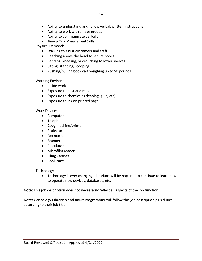- Ability to understand and follow verbal/written instructions
- Ability to work with all age groups
- Ability to communicate verbally
- Time & Task Management Skills

Physical Demands

- Walking to assist customers and staff
- Reaching above the head to secure books
- Bending, kneeling, or crouching to lower shelves
- Sitting, standing, stooping
- Pushing/pulling book cart weighing up to 50 pounds

Working Environment

- Inside work
- Exposure to dust and mold
- Exposure to chemicals (cleaning, glue, etc)
- Exposure to ink on printed page

Work Devices

- Computer
- Telephone
- Copy machine/printer
- Projector
- Fax machine
- Scanner
- Calculator
- Microfilm reader
- Filing Cabinet
- Book carts

Technology

 Technology is ever changing; librarians will be required to continue to learn how to operate new devices, databases, etc.

**Note:** This job description does not necessarily reflect all aspects of the job function.

**Note: Genealogy Librarian and Adult Programmer** will follow this job description plus duties according to their job title.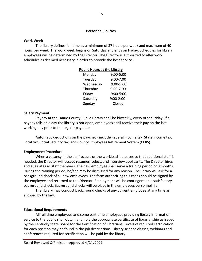#### **Personnel Policies**

#### **Work Week**

The library defines full time as a minimum of 37 hours per week and maximum of 40 hours per week. The work week begins on Saturday and ends on Friday. Schedules for library employees will be determined by the Director. The Director is authorized to alter work schedules as deemed necessary in order to provide the best service.

#### **Public Hours at the Library**

| 9:00-5:00     |
|---------------|
| 9:00-7:00     |
| 9:00-5:00     |
| 9:00-7:00     |
| 9:00-5:00     |
| $9:00 - 2:00$ |
| Closed        |
|               |

#### **Salary Payment**

Payday at the LaRue County Public Library shall be biweekly, every other Friday. If a payday falls on a day the library is not open, employees shall receive their pay on the last working day prior to the regular pay date.

Automatic deductions on the paycheck include Federal income tax, State income tax, Local tax, Social Security tax, and County Employees Retirement System (CERS).

#### **Employment Procedure**

When a vacancy in the staff occurs or the workload increases so that additional staff is needed, the Director will accept resumes, select, and interview applicants. The Director hires and evaluates all staff members. The new employee shall serve a training period of 3 months. During the training period, he/she may be dismissed for any reason. The library will ask for a background check of all new employees. The form authorizing this check should be signed by the employee and returned to the Director. Employment will be contingent on a satisfactory background check. Background checks will be place in the employees personnel file.

The library may conduct background checks of any current employee at any time as allowed by the law.

#### **Educational Requirements**

All full time employees and some part time employees providing library information service to the public shall obtain and hold the appropriate certificate of librarianship as issued by the Kentucky State Board for the Certification of Librarians. Levels of required certification for each position may be found in the job descriptions. Library science classes, webinars and conferences required for certification will be paid by the library.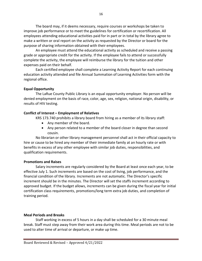The board may, if it deems necessary, require courses or workshops be taken to improve job performance or to meet the guidelines for certification or recertification. All employees attending educational activities paid for in part or in total by the library agree to make a written or oral report on the activity as requested by the Director or board for the purpose of sharing information obtained with their employees.

An employee must attend the educational activity as scheduled and receive a passing grade or appropriate credit for the activity. If the employee fails to attend or successfully complete the activity, the employee will reimburse the library for the tuition and other expenses paid on their behalf.

Each certified employee shall complete a Learning Activity Report for each continuing education activity attended and file Annual Summation of Learning Activities form with the regional office.

# **Equal Opportunity**

The LaRue County Public Library is an equal opportunity employer. No person will be denied employment on the basis of race, color, age, sex, religion, national origin, disability, or results of HIV testing.

# **Conflict of Interest – Employment of Relatives**

KRS 173.740 prohibits a library board from hiring as a member of its library staff:

- Any member of the board.
- Any person related to a member of the board closer in degree than second cousin.

No librarian or other library management personnel shall act in their official capacity to hire or cause to be hired any member of their immediate family at an hourly rate or with benefits in excess of any other employee with similar job duties, responsibilities, and qualification requirements.

# **Promotions and Raises**

Salary increments are regularly considered by the Board at least once each year, to be effective July 1. Such increments are based on the cost of living, job performance, and the financial condition of the library. Increments are not automatic. The Director's specific increment should be in the minutes. The Director will set the staffs increment according to approved budget. If the budget allows, increments can be given during the fiscal year for initial certification class requirements, promotions/long term extra job duties, and completion of training period.

# **Meal Periods and Breaks**

Staff working in excess of 5 hours in a day shall be scheduled for a 30 minute meal break. Staff must step away from their work area during this time. Meal periods are not to be used to alter time of arrival or departure, or make up time.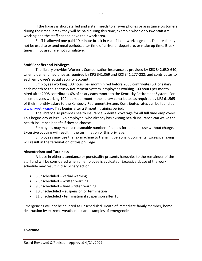If the library is short staffed and a staff needs to answer phones or assistance customers during their meal break they will be paid during this time, example when only two staff are working and the staff cannot leave their work area.

Staff is allowed one paid 10 minute break in each 4 hour work segment. The break may not be used to extend meal periods, alter time of arrival or departure, or make up time. Break times, if not used, are not cumulative.

#### **Staff Benefits and Privileges**

The library provides Worker's Compensation insurance as provided by KRS 342.630-640; Unemployment insurance as required by KRS 341.069 and KRS 341.277-282; and contributes to each employee's Social Security account.

Employees working 100 hours per month hired before 2008 contributes 5% of salary each month to the Kentucky Retirement System, employees working 100 hours per month hired after 2008 contributes 6% of salary each month to the Kentucky Retirement System. For all employees working 100 hours per month, the library contributes as required by KRS 61.565 of their monthly salary to the Kentucky Retirement System. Contributes rates can be found at [www.kyret.ky.gov.](http://www.kyret.ky.gov/) This begins after a 3 month training period.

The library also provides health insurance & dental coverage for all full time employees. This begins day of hire. An employee, who already has existing health insurance can waive the health insurance benefit if they so choose.

Employees may make a reasonable number of copies for personal use without charge. Excessive copying will result in the termination of this privilege.

Employees may use the fax machine to transmit personal documents. Excessive faxing will result in the termination of this privilege.

#### **Absenteeism and Tardiness**

A lapse in either attendance or punctuality presents hardships to the remainder of the staff and will be considered when an employee is evaluated. Excessive abuse of the work schedule may result in disciplinary action.

- 5 unscheduled verbal warning
- 7 unscheduled written warning
- 9 unscheduled final written warning
- 10 unscheduled suspension or termination
- 11 unscheduled termination if suspension after 10

Emergencies will not be counted as unscheduled. Death of immediate family member, home destruction by extreme weather, etc are examples of emergencies.

#### **Overtime**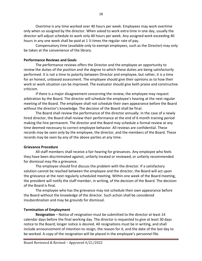Overtime is any time worked over 40 hours per week. Employees may work overtime only when so assigned by the director. When asked to work extra time in one day, usually the director will adjust schedule to work only 40 hours per week. Any assigned work exceeding 40 hours in any one week shall be paid at 1 ½ times the regular rate of pay.

Compensatory time (available only to exempt employees, such as the Director) may only be taken at the convenience of the library.

#### **Performance Reviews and Goals**

The performance reviews offers the Director and the employee an opportunity to review the duties of the position and the degree to which these duties are being satisfactorily performed. It is not a time to polarity between Director and employee, but rather, it is a time for an honest, unbiased assessment. The employee should give their opinions as to how their work or work situation can be improved. The evaluator should give both praise and constructive criticism.

If there is a major disagreement concerning the review, the employee may request arbitration by the Board. The director will schedule the employee's hearing at the next regular meeting of the Board. The employee shall not schedule their own appearance before the Board without the director's knowledge. The decision of the Board shall be final.

The Board shall review the performance of the director annually. In the case of a newly hired director, the Board shall review their performance at the end of 6 month training period making the hire permanent. The director and the Board may schedule a formal review at any time deemed necessary to correct employee behavior. All reviews are confidential. These records may be seen only by the employee, the director, and the members of the Board. These records may be seen by any of the above parties at any time.

#### **Grievance Procedure**

All staff members shall receive a fair hearing for grievances. Any employee who feels they have been discriminated against, unfairly treated or reviewed, or unfairly recommended for dismissal may file a grievance.

The employee should first discuss the problem with the director. If a satisfactory solution cannot be reached between the employee and the director, the Board will act upon the grievance at the next regularly scheduled meeting. Within one week of the Board meeting, the president will notify the staff member, in writing, of the decision of the Board. The decision of the Board is final.

The employee who has the grievance may not schedule their own appearance before the Board without the knowledge of the director. Such action shall be considered insubordination and may be grounds for dismissal.

#### **Termination of Employment**

**Resignation** – Notice of resignation must be submitted to the director at least 14 calendar days before the final working day. The director is requested to give at least 30 days notice to the Board; longer notice is desired. All resignations must be in writing, and shall include announcement of intention to resign, the reason for it, and the date of the last day to be worked. A copy of the resignation will be placed in the employee's personnel file.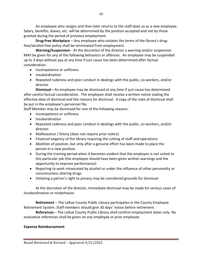An employee who resigns and then later returns to the staff does so as a new employee. Salary, benefits, leaves, etc. will be determined by the position accepted and not by those granted during the period of previous employment.

**Drug-free Workplace** – Any employee who violates the terms of the library's drugfree/alcohol-free policy shall be terminated from employment.

**Warning/Suspension**-- At the discretion of the director a warning and/or suspension MAY be given for any of the following behaviors or offenses. An employee may be suspended up to 3 days without pay at any time if just cause has been determined after factual consideration.

- Incompetence or unfitness
- Insubordination
- Repeated rudeness and poor conduct in dealings with the public, co-workers, and/or director.

**Dismissal**—An employee may be dismissed at any time if just cause has determined after careful factual consideration. The employee shall receive a written notice stating the effective date of dismissal and the reasons for dismissal. A copy of the note of dismissal shall be put in the employee's personnel file.

Staff Member may be dismissed for one of the following reasons:

- Incompetence or unfitness
- Insubordination
- Repeated rudeness and poor conduct in dealings with the public, co-workers, and/or director.
- Malfeasance / felony (does not require prior notice)
- Financial exigency of the library requiring the cutting of staff and operations
- Abolition of position, but only after a genuine effort has been made to place the person in a new position.
- During the training period when it becomes evident that the employee is not suited to this particular job (the employee should have been given written warnings and the opportunity to improve performance)
- Reporting to work intoxicated by alcohol or under the influence of other personality or consciousness altering drugs
- Violating a patron's right to privacy may be considered grounds for dismissal

At the discretion of the director, immediate dismissal may be made for serious cases of insubordination or misbehavior.

**Retirement** – The LaRue County Public Library participates in the County Employee Retirement System. Staff members should give 30 days' notice before retirement.

**References** – The LaRue County Public Library shall confirm employment dates only. No evaluative references shall be given on any employee or prior employee.

# **Expense Reimbursement**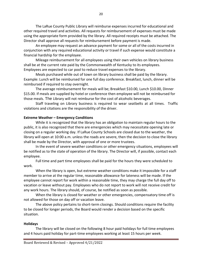The LaRue County Public Library will reimburse expenses incurred for educational and other required travel and activities. All requests for reimbursement of expenses must be made using the appropriate form provided by the library. All required receipts must be attached. The Director shall approve all requests for reimbursement before payment is made.

An employee may request an advance payment for some or all of the costs incurred in conjunction with any required educational activity or travel if such expense would constitute a financial hardship for the employee.

Mileage reimbursement for all employees using their own vehicles on library business shall be at the current rate paid by the Commonwealth of Kentucky to its employees. Employees are expected to car pool to reduce travel expenses to the library.

Meals purchased while out of town on library business shall be paid by the library. Example: Lunch will be reimbursed for one full day conference. Breakfast, lunch, dinner will be reimbursed if required to stay overnight.

The average reimbursement for meals will be; Breakfast \$10.00, Lunch \$10.00, Dinner \$15.00. If meals are supplied by hotel or conference then employee will not be reimbursed for those meals. The Library will not reimburse for the cost of alcoholic beverages.

Staff traveling on Library business is required to wear seatbelts at all times. Traffic violations and citations are the responsibility of the driver.

#### **Extreme Weather – Emergency Conditions**

While it is recognized that the library has an obligation to maintain regular hours to the public, it is also recognized that there are emergencies which may necessitate opening late or closing on a regular working day. If LaRue County Schools are closed due to the weather, the library will open at 10:00 a.m. unless the roads are severe, then the decision to close the library shall be made by the Director, with approval of one or more trustees.

In the event of severe weather conditions or other emergency situations, employees will be notified as to the state of operation of the library. The Director will, if possible, contact each employee.

Full time and part time employees shall be paid for the hours they were scheduled to work.

When the library is open, but extreme weather conditions make it impossible for a staff member to arrive at the regular time, reasonable allowance for lateness will be made. If the employee cannot report for work within a reasonable time, they may charge the full day off to vacation or leave without pay. Employees who do not report to work will not receive credit for any work hours. The library should, of course, be notified as soon as possible.

When the library is closed for weather or other emergencies, compensatory time off is not allowed for those on day off or vacation leave.

The above policy pertains to short-term closings. Should conditions require the facility to be closed for longer periods, the Board would render a decision based on the specific situation.

#### **Holidays**

The library will be closed on the following 8 hour paid holidays for full time employees and 4 hours paid holiday for part-time employees working at least 15 hours per week.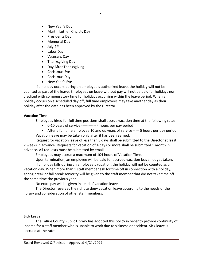- New Year's Day
- Martin Luther King, Jr. Day
- Presidents Day
- Memorial Day
- $\bullet$  July 4<sup>th</sup>
- Labor Day
- Veterans Day
- Thanksgiving Day
- Day After Thanksgiving
- Christmas Eve
- Christmas Day
- New Year's Eve

If a holiday occurs during an employee's authorized leave, the holiday will not be counted as part of the leave. Employees on leave without pay will not be paid for holidays nor credited with compensatory time for holidays occurring within the leave period. When a holiday occurs on a scheduled day off, full time employees may take another day as their holiday after the date has been approved by the Director.

# **Vacation Time**

Employees hired for full time positions shall accrue vacation time at the following rate:

- 0-10 years of service ------------ 4 hours per pay period
- After a full time employee 10 and up years of service ----- 5 hours per pay period Vacation leave may be taken only after it has been earned.

Request for vacation leave of less than 3 days shall be submitted to the Director at least 2 weeks in advance. Requests for vacation of 4 days or more shall be submitted 1 month in advance. All requests must be submitted by email.

Employees may accrue a maximum of 104 hours of Vacation Time.

Upon termination, an employee will be paid for accrued vacation leave not yet taken.

If a holiday falls during an employee's vacation, the holiday will not be counted as a vacation day. When more than 1 staff member ask for time off in connection with a holiday, spring break or fall break seniority will be given to the staff member that did not take time off the same time the previous year.

No extra pay will be given instead of vacation leave.

The Director reserves the right to deny vacation leave according to the needs of the library and consideration of other staff members.

# **Sick Leave**

The LaRue County Public Library has adopted this policy in order to provide continuity of income for a staff member who is unable to work due to sickness or accident. Sick leave is accrued at the rate: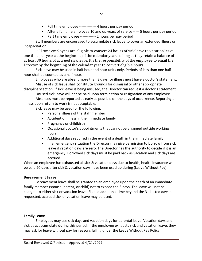- Full time employee -------------- 4 hours per pay period
- After a full time employee 10 and up years of service ----- 5 hours per pay period
- Part time employee ------------- 2 hours per pay period

Staff members are encouraged to accumulate sick leave to cover an extended illness or incapacitation.

Full time employees are eligible to convert 24 hours of sick leave to vacation leave one time per year at the beginning of the calendar year, so long as they retain a balance of at least 80 hours of accrued sick leave. It's the responsibility of the employee to email the Director by the beginning of the calendar year to convert eligible hours.

Sick leave may be used in half hour and hour units only. Periods of less than one half hour shall be counted as a half hour.

Employees who are absent more than 3 days for illness must have a doctor's statement. Misuse of sick leave shall constitute grounds for dismissal or other appropriate

disciplinary action. If sick leave is being misused, the Director can request a doctor's statement. Unused sick leave will not be paid upon termination or resignation of any employee.

Absences must be reported as early as possible on the days of occurrence. Reporting an illness upon return to work is not acceptable.

Sick leave may be used for the following:

- Personal illness of the staff member
- Accident or illness in the immediate family
- Pregnancy or childbirth
- Occasional doctor's appointments that cannot be arranged outside working hours
- Additional days required in the event of a death in the immediate family
- In an emergency situation the Director may give permission to borrow from sick leave if vacation days are zero. The Director has the authority to decide if it is an emergency. Borrowed sick days must be paid back as vacation and sick days are accrued.

When an employee has exhausted all sick & vacation days due to health, health insurance will be paid 90 days after sick & vacation days have been used up during (Leave Without Pay)

# **Bereavement Leave**

Bereavement leave shall be granted to an employee upon the death of an immediate family member (spouse, parent, or child) not to exceed the 3 days. The leave will not be charged to either sick or vacation leave. Should additional time beyond the 3 allotted days be requested, accrued sick or vacation leave may be used.

# **Family Leave**

Employees may use sick days and vacation days for parental leave. Vacation days and sick days accumulate during this period. If the employee exhausts sick and vacation leave, they may ask for leave without pay for reasons falling under the Leave Without Pay Policy.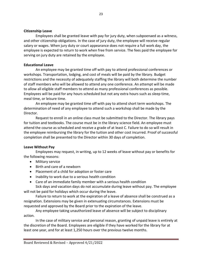#### **Citizenship Leave**

Employees shall be granted leave with pay for jury duty, when subpoenaed as a witness, and other citizenship obligations. In the case of jury duty, the employee will receive regular salary or wages. When jury duty or court appearance does not require a full work day, the employee is expected to return to work when free from service. The fees paid the employee for serving on jury duty are retained by the employee.

#### **Educational Leave**

An employee may be granted time off with pay to attend professional conferences or workshops. Transportation, lodging, and cost of meals will be paid by the library. Budget restrictions and the necessity of adequately staffing the library will both determine the number of staff members who will be allowed to attend any one conference. An attempt will be made to allow all eligible staff members to attend as many professional conferences as possible. Employees will be paid for any hours scheduled but not any extra hours such as sleep time, meal time, or leisure time.

An employee may be granted time off with pay to attend short term workshops. The determination of need of any employee to attend such a workshop shall be made by the Director.

Request to enroll in an online class must be submitted to the Director. The library pays for tuition and textbooks. The course must be in the library science field. An employee must attend the course as scheduled and receive a grade of at least C. Failure to do so will result in the employee reimbursing the library for the tuition and other cost incurred. Proof of successful completion shall be presented to the Director within 30 days of completion.

# **Leave Without Pay**

Employees may request, in writing, up to 12 weeks of leave without pay or benefits for the following reasons:

- Military service
- Birth and care of a newborn
- Placement of a child for adoption or foster care
- Inability to work due to a serious health condition
- Care of an immediate family member with a serious health condition

Sick days and vacation days do not accumulate during leave without pay. The employee will not be paid for holidays which occur during the leave.

Failure to return to work at the expiration of a leave of absence shall be construed as a resignation. Extensions may be given in extenuating circumstances. Extensions must be requested and approved by the Board prior to the expiration of the leave.

Any employee taking unauthorized leave of absence will be subject to disciplinary action.

In the case of military service and personal reason, granting of unpaid leave is entirely at the discretion of the Board. Employees are eligible if they have worked for the library for at least one year, and for at least 1,250 hours over the previous twelve months.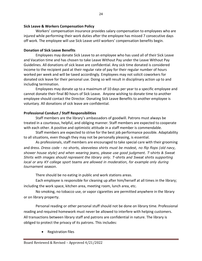#### **Sick Leave & Workers Compensation Policy**

Workers' compensation insurance provides salary compensation to employees who are injured while performing their work duties after the employee has missed 7 consecutive days off work. The employee will use Sick Leave until workers' compensation benefits begin.

#### **Donation of Sick Leave Benefits**

Employees may donate Sick Leave to an employee who has used all of their Sick Leave and Vacation time and has chosen to take Leave Without Pay under the Leave Without Pay Guidelines. All donations of sick leave are confidential. Any sick time donated is considered income to the recipient paid at their regular rate of pay for their regular number of hours worked per week and will be taxed accordingly. Employees may not solicit coworkers for donated sick leave for their personal use. Doing so will result in disciplinary action up to and including termination.

Employees may donate up to a maximum of 10 days per year to a specific employee and cannot donate their final 80 hours of Sick Leave. Anyone wishing to donate time to another employee should contact the Director. Donating Sick Leave Benefits to another employee is voluntary. All donations of sick leave are confidential.

# **Professional Conduct / Staff Responsibilities**

Staff members are the library's ambassadors of goodwill. Patrons must always be treated in a courteous, helpful, and obliging manner. Staff members are expected to cooperate with each other. A positive and optimistic attitude in a staff member is commendable.

Staff members are expected to strive for the best job performance possible. Adaptability to all situations, even though they may not be personally pleasing, is essential.

As professionals, staff members are encouraged to take special care with their grooming and dress. *Dress code - no shorts, sleeveless shirts must be modest, no flip flops (old navy, shower house style) and when wearing jeans, please use good judgment. T-shirts & Sweat Shirts with images should represent the library only. T-shirts and Sweat shirts supporting local or any KY college sport teams are allowed in moderation, for example only during tournament season.*

There should be no eating in public and work stations areas.

Each employee is responsible for cleaning up after him/herself at all times in the library; including the work space, kitchen area, meeting room, lunch area, etc.

No smoking, no tobacco use, or vapor cigarettes are permitted anywhere in the library or on library property.

Personal reading or other personal stuff should not be done on library time. Professional reading and required homework must never be allowed to interfere with helping customers. All transactions between library staff and patrons are confidential in nature. The library is obliged to protect the privacy of its patrons. This includes:

• Registration files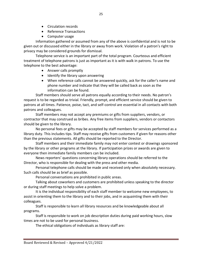- Circulation records
- Reference Transactions
- Computer usage

Information gathered or assumed from any of the above is confidential and is not to be given out or discussed either in the library or away from work. Violation of a patron's right to privacy may be considered grounds for dismissal.

Telephone service is an important part of the total program. Courteous and efficient treatment of telephone patrons is just as important as it is with walk in patrons. To use the telephone to the best advantage:

- Answer calls promptly
- Identify the library upon answering
- When reference calls cannot be answered quickly, ask for the caller's name and phone number and indicate that they will be called back as soon as the information can be found.

Staff members should serve all patrons equally according to their needs. No patron's request is to be regarded as trivial. Friendly, prompt, and efficient service should be given to patrons at all times. Patience, poise, tact, and self-control are essential in all contacts with both patrons and colleagues.

Staff members may not accept any premiums or gifts from suppliers, vendors, or contractor that may construed as bribes. Any free items from suppliers, vendors or contactors should be given to the library.

No personal fees or gifts may be accepted by staff members for services performed as a library duty. This includes tips. Staff may receive gifts from customers if given for reasons other than the previous statements. All gifts should be reported to the Director.

Staff members and their immediate family may not enter contest or drawings sponsored by the library or other programs at the library. If participation prizes or awards are given to everyone then immediate family members can be included.

News reporters' questions concerning library operations should be referred to the Director, who is responsible for dealing with the press and other media.

Personal telephone calls should be made and received only when absolutely necessary. Such calls should be as brief as possible.

Personal conversations are prohibited in public areas.

Talking about coworkers and customers are prohibited unless speaking to the director or during staff meetings to help solve a problem.

It is the individual responsibility of each staff member to welcome new employees, to assist in orienting them to the library and to their jobs, and in acquainting them with their colleagues.

Staff is responsible to learn all library resources and be knowledgeable about all programs.

Staff is responsible to work on job description duties during paid working hours, slow times are not to be used for personal business.

The ethical obligations of individuals as library staff are: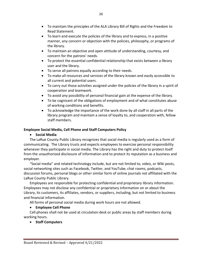- To maintain the principles of the ALA Library Bill of Rights and the Freedom to Read Statement.
- To learn and execute the policies of the library and to express, in a positive manner, any concern or objection with the policies, philosophy, or programs of the library.
- To maintain an objective and open attitude of understanding, courtesy, and concern for the patrons' needs.
- To protect the essential confidential relationship that exists between a library user and the library.
- To serve all patrons equally according to their needs.
- To make all resources and services of the library known and easily accessible to all current and potential users.
- To carry out those activities assigned under the policies of the library in a spirit of cooperation and teamwork.
- To avoid any possibility of personal financial gain at the expense of the library.
- To be cognizant of the obligations of employment and of what constitutes abuse of working conditions and benefits.
- To acknowledge the importance of the work done by all staff in all parts of the library program and maintain a sense of loyalty to, and cooperation with, fellow staff members.

# **Employee Social Media, Cell Phone and Staff Computers Policy**

# **Social Media**

The LaRue County Public Library recognizes that social media is regularly used as a form of communicating. The Library trusts and expects employees to exercise personal responsibility whenever they participate in social media. The Library has the right and duty to protect itself from the unauthorized disclosure of information and to protect its reputation as a business and employer.

"Social media" and related technology include, but are not limited to, video, or Wiki posts, social networking sites such as Facebook, Twitter, and YouTube, chat rooms, podcasts, discussion forums, personal blogs or other similar form of online journals not affiliated with the LaRue County Public Library.

Employees are responsible for protecting confidential and proprietary library information. Employees may not disclose any confidential or proprietary information on or about the Library, its customers, its affiliates, vendors, or suppliers, including, but not limited to business and financial information.

All forms of personal social media during work hours are not allowed.

# **Employee Cell Phone**

Cell phones shall not be used at circulation desk or public areas by staff members during working hours.

# **•** Staff Computers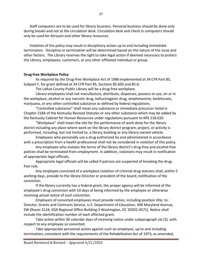Staff computers are to be used for library business. Personal business should be done only during breaks and not at the circulation desk. Circulation desk and check in computers should only be used for Atriuum and other library resources.

Violation of the policy may result in disciplinary action up to and including immediate termination. Discipline or termination will be determined based on the nature of the issue and other factors. The Library reserves the right to take legal action if deemed necessary to protect the Library, employees, customers, or any other affiliated individual or group.

#### **Drug-free Workplace Policy**

As required by the Drug-free Workplace Act of 1986 implemented at 34 CFR Part 85, Subpart F, for grant defined at 34 CFR Part 85, Sections 85.605 and 85.6:

The LaRue County Public Library will be a drug-free workplace.

Library employees shall not manufacture, distribute, dispenses, possess or use, on or in the workplace, alcohol or any narcotic drug, hallucinogenic drug, amphetamine, barbiturate, marijuana, or any other controlled substance as defined by federal regulations.

"Controlled substance" shall mean any substance or immediate precursor listed in Chapter 218A of the Kentucky Revised Statutes or any other substance which may be added by the Kentucky Cabinet for Human Resources under regulations pursuant to KRS 218.020.

"Workplace" shall mean the site for the performance of work done for the library district including any place where work on the library district program, project, or activity is performed, including, but not limited to, a library building or any library owned vehicle.

Employees who personally use a drug authorized by and administered in accordance with a prescription from a health professional shall not be considered in violation of this policy.

Any employee who violates the terms of the library district's drug-free and alcohol-free policies shall be terminated from employment. In addition, violations may result in notification of appropriate legal officials.

Appropriate legal officials will be called if patrons are suspected of breaking the drugfree rule.

Any employee convicted of a workplace violation of criminal drug statutes shall, within 5 working days, provide to the library Director or president of the board, notification of the conviction.

If the library currently has a federal grant, the proper agency will be informed of the employee's drug conviction with 10 days of being informed by the employee or otherwise receiving actual notice of such conviction.

Employers of convicted employees must provide notice, including position title, to : Director, Grants and Contracts Service, U.S. Department of Education, 400 Maryland Avenue, SW (Room 3124, GSA Regional Office Building 3 Washington, DC 20202-4571). Notice shall include the identification number of each affected grant.

Take action within 30 calendar days of receiving notice under subparagraph (a) (2), with respect to any employee so convicted.

Take appropriate personnel action against such an employee, up to and including termination, consistent with the requirements of the Rehabilitation Act of 1973, as amended,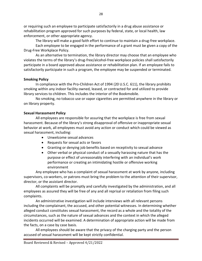or requiring such an employee to participate satisfactorily in a drug abuse assistance or rehabilitation program approved for such purposes by federal, state, or local health, law enforcement, or other appropriate agency.

The library will make a good faith effort to continue to maintain a drug-free workplace.

Each employee to be engaged in the performance of a grant must be given a copy of the Drug-Free Workplace Policy.

As an alternative to termination, the library director may choose that an employee who violates the terms of the library's drug-free/alcohol-free workplace policies shall satisfactorily participate in a board approved abuse assistance or rehabilitation plan. If an employee fails to satisfactorily participate in such a program, the employee may be suspended or terminated.

# **Smoking Policy**

In compliance with the Pro-Children Act of 1994 (20 U.S.C. 611), the library prohibits smoking within any indoor facility owned, leased, or contracted for and utilized to provide library services to children. This includes the interior of the Bookmobile.

No smoking, no tobacco use or vapor cigarettes are permitted anywhere in the library or on library property.

# **Sexual Harassment Policy**

All employees are responsible for assuring that the workplace is free from sexual harassment. Because of the library's strong disapproval of offensive or inappropriate sexual behavior at work, all employees must avoid any action or conduct which could be viewed as sexual harassment, including:

- Unwelcome sexual advances
- Requests for sexual acts or favors
- Granting or denying job benefits based on receptivity to sexual advance
- Other verbal or physical conduct of a sexually harassing nature that has the purpose or effect of unreasonably interfering with an individual's work performance or creating an intimidating hostile or offensive working environment

Any employee who has a complaint of sexual harassment at work by anyone, including supervisors, co-workers, or patrons must bring the problem to the attention of their supervisor, director, or the assistant director.

All complaints will be promptly and carefully investigated by the administration, and all employees as assured they will be free of any and all reprisal or retaliation from filing such complaints.

An administrative investigation will include interviews with all relevant persons including the complainant, the accused, and other potential witnesses. In determining whether alleged conduct constitutes sexual harassment, the record as a whole and the totality of the circumstances, such as the nature of sexual advances and the context in which the alleged incidents occurred will be examined. A determination of appropriate action will be made from the facts, on a case by case basis.

All employees should be aware that the privacy of the charging party and the person accused of sexual harassment will be kept strictly confidential.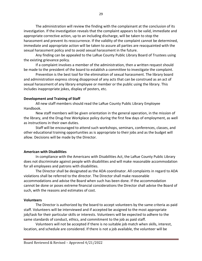The administration will review the finding with the complainant at the conclusion of its investigation. If the investigation reveals that the complaint appears to be valid, immediate and appropriate corrective action, up to an including discharge, will be taken to stop the harassment and prevent its reoccurrence. If the validity of the complaint cannot be determined, immediate and appropriate action will be taken to assure all parties are reacquainted with the sexual harassment policy and to avoid sexual harassment in the future.

Any finding can be appealed to the LaRue County Public Library Board of Trustees using the existing grievance policy.

If a complaint involves a member of the administration, then a written request should be made to the president of the board to establish a committee to investigate the complaint.

Prevention is the best tool for the elimination of sexual harassment. The library board and administration express strong disapproval of any acts that can be construed as an act of sexual harassment of any library employee or member or the public using the library. This includes inappropriate jokes, display of posters, etc.

#### **Development and Training of Staff**

All new staff members should read the LaRue County Public Library Employee Handbook.

New staff members will be given orientation in the general operation, in the mission of the library, and the Drug-free Workplace policy during the first few days of employment, as well as instructions in their own duties.

Staff will be encouraged to attend such workshops, seminars, conferences, classes, and other educational training opportunities as is appropriate to their jobs and as the budget will allow. Decisions will be made by the Director.

# **American with Disabilities**

In compliance with the Americans with Disabilities Act, the LaRue County Public Library does not discriminate against people with disabilities and will make reasonable accommodation for all employees and patrons with disabilities.

The Director shall be designated as the ADA coordinator. All complaints in regard to ADA violations shall be referred to the director. The Director shall make reasonable accommodations and advise the Board when such has been done. If the accommodation cannot be done or poses extreme financial considerations the Director shall advise the Board of such, with the reasons and estimates of cost.

# **Volunteers**

The Director is authorized by the board to accept volunteers by the same criteria as paid staff. Volunteers will be interviewed and if accepted be assigned to the most appropriate job/task for their particular skills or interests. Volunteers will be expected to adhere to the same standards of conduct, ethics, and commitment to the job as paid staff.

Volunteers will not be accepted if there is no suitable job match when skills, interest, location, and schedule are considered. If there is not a job available, the volunteer will be